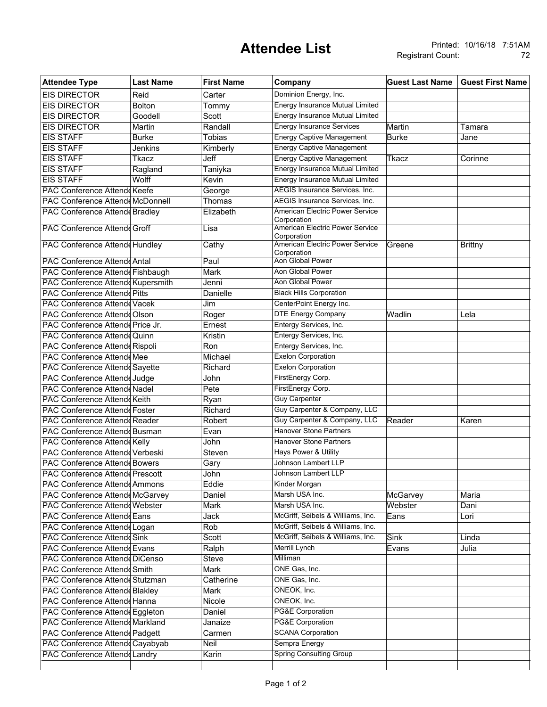## **Attendee List**

| <b>Attendee Type</b>                    | <b>Last Name</b> | <b>First Name</b> | Company                                        | <b>Guest Last Name</b> | <b>Guest First Name</b> |
|-----------------------------------------|------------------|-------------------|------------------------------------------------|------------------------|-------------------------|
| <b>EIS DIRECTOR</b>                     | Reid             | Carter            | Dominion Energy, Inc.                          |                        |                         |
| <b>EIS DIRECTOR</b>                     | <b>Bolton</b>    | Tommy             | Energy Insurance Mutual Limited                |                        |                         |
| <b>EIS DIRECTOR</b>                     | Goodell          | Scott             | <b>Energy Insurance Mutual Limited</b>         |                        |                         |
| <b>EIS DIRECTOR</b>                     | Martin           | Randall           | <b>Energy Insurance Services</b>               | Martin                 | Tamara                  |
| <b>EIS STAFF</b>                        | <b>Burke</b>     | <b>Tobias</b>     | <b>Energy Captive Management</b>               | <b>Burke</b>           | Jane                    |
| <b>EIS STAFF</b>                        | Jenkins          | Kimberly          | <b>Energy Captive Management</b>               |                        |                         |
| <b>EIS STAFF</b>                        | Tkacz            | Jeff              | <b>Energy Captive Management</b>               | Tkacz                  | Corinne                 |
| <b>EIS STAFF</b>                        | Ragland          | Taniyka           | <b>Energy Insurance Mutual Limited</b>         |                        |                         |
| <b>EIS STAFF</b>                        | Wolff            | Kevin             | <b>Energy Insurance Mutual Limited</b>         |                        |                         |
| PAC Conference Attende Keefe            |                  | George            | <b>AEGIS Insurance Services, Inc.</b>          |                        |                         |
| <b>PAC Conference Attende McDonnell</b> |                  | Thomas            | AEGIS Insurance Services, Inc.                 |                        |                         |
| <b>PAC Conference Attende Bradley</b>   |                  | Elizabeth         | American Electric Power Service                |                        |                         |
|                                         |                  |                   | Corporation                                    |                        |                         |
| <b>PAC Conference Attende Groff</b>     |                  | Lisa              | American Electric Power Service                |                        |                         |
| PAC Conference Attend Hundley           |                  | Cathy             | Corporation<br>American Electric Power Service | Greene                 | <b>Brittny</b>          |
|                                         |                  |                   | Corporation                                    |                        |                         |
| <b>PAC Conference Attende Antal</b>     |                  | Paul              | <b>Aon Global Power</b>                        |                        |                         |
| PAC Conference Attende Fishbaugh        |                  | Mark              | Aon Global Power                               |                        |                         |
| PAC Conference Attende Kupersmith       |                  | Jenni             | Aon Global Power                               |                        |                         |
| <b>PAC Conference Attende Pitts</b>     |                  | Danielle          | <b>Black Hills Corporation</b>                 |                        |                         |
| PAC Conference Attende Vacek            |                  | Jim               | CenterPoint Energy Inc.                        |                        |                         |
| PAC Conference Attende Olson            |                  | Roger             | <b>DTE Energy Company</b>                      | Wadlin                 | Lela                    |
| PAC Conference Attende Price Jr.        |                  | Ernest            | Entergy Services, Inc.                         |                        |                         |
| PAC Conference Attende Quinn            |                  | Kristin           | Entergy Services, Inc.                         |                        |                         |
| PAC Conference Attende Rispoli          |                  | Ron               | Entergy Services, Inc.                         |                        |                         |
| <b>PAC Conference Attende Mee</b>       |                  | Michael           | <b>Exelon Corporation</b>                      |                        |                         |
| <b>PAC Conference Attende Sayette</b>   |                  | Richard           | <b>Exelon Corporation</b>                      |                        |                         |
| PAC Conference Attende Judge            |                  | John              | FirstEnergy Corp.                              |                        |                         |
| PAC Conference Attende Nadel            |                  | Pete              | FirstEnergy Corp.                              |                        |                         |
| <b>PAC Conference Attende Keith</b>     |                  | Ryan              | <b>Guy Carpenter</b>                           |                        |                         |
| PAC Conference Attende Foster           |                  | Richard           | Guy Carpenter & Company, LLC                   |                        |                         |
| PAC Conference Attende Reader           |                  | Robert            | Guy Carpenter & Company, LLC                   | Reader                 | Karen                   |
| PAC Conference Attend Busman            |                  | Evan              | <b>Hanover Stone Partners</b>                  |                        |                         |
|                                         |                  | John              | <b>Hanover Stone Partners</b>                  |                        |                         |
| <b>PAC Conference Attende Kelly</b>     |                  |                   | <b>Hays Power &amp; Utility</b>                |                        |                         |
| PAC Conference Attend Verbeski          |                  | Steven            | Johnson Lambert LLP                            |                        |                         |
| <b>PAC Conference Attende Bowers</b>    |                  | Gary              |                                                |                        |                         |
| <b>PAC Conference Attende Prescott</b>  |                  | John              | Johnson Lambert LLP                            |                        |                         |
| <b>PAC Conference Attende Ammons</b>    |                  | Eddie             | Kinder Morgan                                  |                        |                         |
| PAC Conference Attend McGarvey          |                  | Daniel            | Marsh USA Inc.                                 | <b>McGarvey</b>        | Maria                   |
| <b>PAC Conference Attende Webster</b>   |                  | Mark              | Marsh USA Inc.                                 | Webster                | Dani                    |
| <b>PAC Conference Attende Eans</b>      |                  | Jack              | McGriff, Seibels & Williams, Inc.              | Eans                   | Lori                    |
| PAC Conference Attende Logan            |                  | Rob               | McGriff, Seibels & Williams, Inc.              |                        |                         |
| <b>PAC Conference Attende Sink</b>      |                  | Scott             | McGriff, Seibels & Williams, Inc.              | <b>Sink</b>            | Linda                   |
| <b>PAC Conference Attende Evans</b>     |                  | Ralph             | Merrill Lynch                                  | Evans                  | Julia                   |
| PAC Conference Attende DiCenso          |                  | Steve             | Milliman                                       |                        |                         |
| PAC Conference Attende Smith            |                  | <b>Mark</b>       | ONE Gas, Inc.                                  |                        |                         |
| PAC Conference Attende Stutzman         |                  | Catherine         | ONE Gas, Inc.                                  |                        |                         |
| <b>PAC Conference Attende Blakley</b>   |                  | Mark              | ONEOK, Inc.                                    |                        |                         |
| PAC Conference Attende Hanna            |                  | <b>Nicole</b>     | ONEOK, Inc.                                    |                        |                         |
| PAC Conference Attend Eggleton          |                  | Daniel            | <b>PG&amp;E Corporation</b>                    |                        |                         |
| PAC Conference Attendd Markland         |                  | Janaize           | <b>PG&amp;E Corporation</b>                    |                        |                         |
| PAC Conference Attende Padgett          |                  | Carmen            | <b>SCANA Corporation</b>                       |                        |                         |
| PAC Conference Attend Cayabyab          |                  | Neil              | Sempra Energy                                  |                        |                         |
| <b>PAC Conference Attende Landry</b>    |                  | Karin             | <b>Spring Consulting Group</b>                 |                        |                         |
|                                         |                  |                   |                                                |                        |                         |